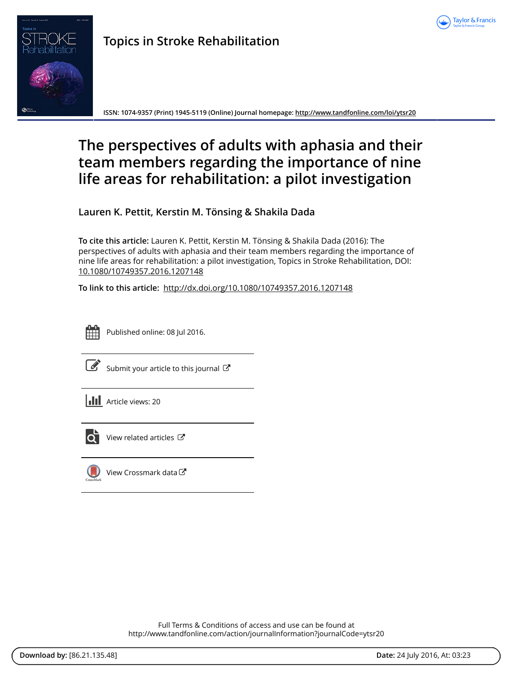



**ISSN: 1074-9357 (Print) 1945-5119 (Online) Journal homepage:<http://www.tandfonline.com/loi/ytsr20>**

## **The perspectives of adults with aphasia and their team members regarding the importance of nine life areas for rehabilitation: a pilot investigation**

**Lauren K. Pettit, Kerstin M. Tönsing & Shakila Dada**

**To cite this article:** Lauren K. Pettit, Kerstin M. Tönsing & Shakila Dada (2016): The perspectives of adults with aphasia and their team members regarding the importance of nine life areas for rehabilitation: a pilot investigation, Topics in Stroke Rehabilitation, DOI: [10.1080/10749357.2016.1207148](http://www.tandfonline.com/action/showCitFormats?doi=10.1080/10749357.2016.1207148)

**To link to this article:** <http://dx.doi.org/10.1080/10749357.2016.1207148>



Published online: 08 Jul 2016.

[Submit your article to this journal](http://www.tandfonline.com/action/authorSubmission?journalCode=ytsr20&page=instructions)  $\mathbb{Z}$ 

**III** Article views: 20



 $\overline{\mathbf{C}}$  [View related articles](http://www.tandfonline.com/doi/mlt/10.1080/10749357.2016.1207148)  $\mathbf{C}$ 



[View Crossmark data](http://crossmark.crossref.org/dialog/?doi=10.1080/10749357.2016.1207148&domain=pdf&date_stamp=2016-07-08)

Full Terms & Conditions of access and use can be found at <http://www.tandfonline.com/action/journalInformation?journalCode=ytsr20>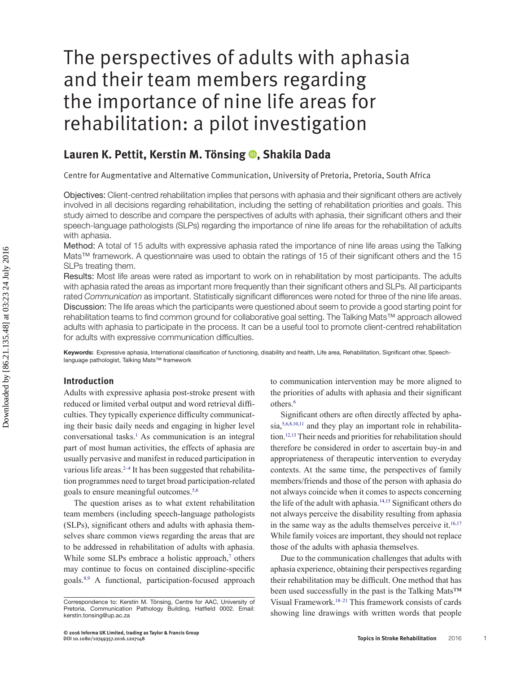# The perspectives of adults with aphasia and their team members regarding the importance of nine life areas for rehabilitation: a pilot investigation

### **Lauren K. Pettit, Kerstin M. Tönsing [,](http://orcid.org/0000-0003-1317-0474) Shakila Dada**

Centre for Augmentative and Alternative Communication, University of Pretoria, Pretoria, South Africa

Objectives: Client-centred rehabilitation implies that persons with aphasia and their significant others are actively involved in all decisions regarding rehabilitation, including the setting of rehabilitation priorities and goals. This study aimed to describe and compare the perspectives of adults with aphasia, their significant others and their speech-language pathologists (SLPs) regarding the importance of nine life areas for the rehabilitation of adults with aphasia.

Method: A total of 15 adults with expressive aphasia rated the importance of nine life areas using the Talking Mats™ framework. A questionnaire was used to obtain the ratings of 15 of their significant others and the 15 SLPs treating them.

Results: Most life areas were rated as important to work on in rehabilitation by most participants. The adults with aphasia rated the areas as important more frequently than their significant others and SLPs. All participants rated *Communication* as important. Statistically significant differences were noted for three of the nine life areas. Discussion: The life areas which the participants were questioned about seem to provide a good starting point for rehabilitation teams to find common ground for collaborative goal setting. The Talking Mats™ approach allowed adults with aphasia to participate in the process. It can be a useful tool to promote client-centred rehabilitation for adults with expressive communication difficulties.

Keywords: Expressive aphasia, International classification of functioning, disability and health, Life area, Rehabilitation, Significant other, Speechlanguage pathologist, Talking Mats™ framework

#### **Introduction**

Adults with expressive aphasia post-stroke present with reduced or limited verbal output and word retrieval difficulties. They typically experience difficulty communicating their basic daily needs and engaging in higher level conversational tasks.[1](#page-7-0) As communication is an integral part of most human activities, the effects of aphasia are usually pervasive and manifest in reduced participation in various life areas. $2-4$  It has been suggested that rehabilitation programmes need to target broad participation-related goals to ensure meaningful outcomes[.5](#page-7-2),[6](#page-7-3)

The question arises as to what extent rehabilitation team members (including speech-language pathologists (SLPs), significant others and adults with aphasia themselves share common views regarding the areas that are to be addressed in rehabilitation of adults with aphasia. While some SLPs embrace a holistic approach, $\alpha$  others may continue to focus on contained discipline-specific goals.[8,](#page-7-5)[9](#page-7-6) A functional, participation-focused approach to communication intervention may be more aligned to the priorities of adults with aphasia and their significant others<sup>[6](#page-7-3)</sup>

Significant others are often directly affected by aphasia,<sup>5,6,8,10,11</sup> and they play an important role in rehabilitation[.12](#page-7-7),[13](#page-7-8) Their needs and priorities for rehabilitation should therefore be considered in order to ascertain buy-in and appropriateness of therapeutic intervention to everyday contexts. At the same time, the perspectives of family members/friends and those of the person with aphasia do not always coincide when it comes to aspects concerning the life of the adult with aphasia.<sup>14,[15](#page-7-10)</sup> Significant others do not always perceive the disability resulting from aphasia in the same way as the adults themselves perceive it. $16,17$  $16,17$ While family voices are important, they should not replace those of the adults with aphasia themselves.

Due to the communication challenges that adults with aphasia experience, obtaining their perspectives regarding their rehabilitation may be difficult. One method that has been used successfully in the past is the Talking Mats™ Visual Framework[.18–21](#page-8-2) This framework consists of cards showing line drawings with written words that people

1

Correspondence to: Kerstin M. Tönsing, Centre for AAC, University of Pretoria, Communication Pathology Building, Hatfield 0002. Email: [kerstin.tonsing@up.ac.za](mailto:kerstin.tonsing@up.ac.za)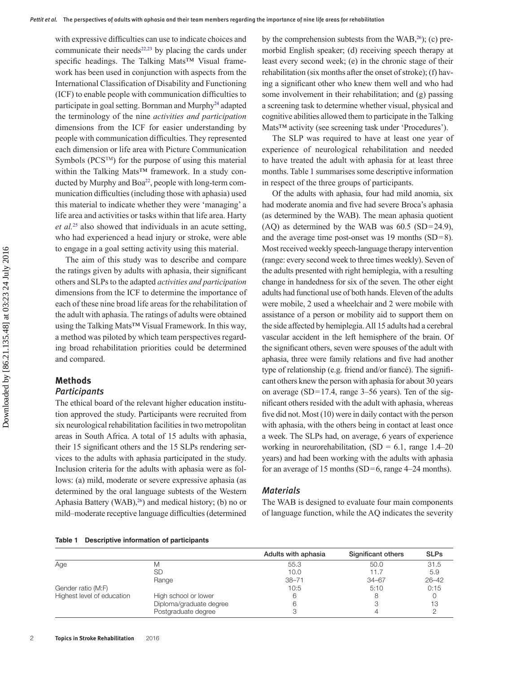with expressive difficulties can use to indicate choices and communicate their needs $22,23$  $22,23$  by placing the cards under specific headings. The Talking Mats™ Visual framework has been used in conjunction with aspects from the International Classification of Disability and Functioning (ICF) to enable people with communication difficulties to participate in goal setting. Bornman and Murphy<sup>[24](#page-8-5)</sup> adapted the terminology of the nine *activities and participation* dimensions from the ICF for easier understanding by people with communication difficulties. They represented each dimension or life area with Picture Communication Symbols (PCS<sup>TM</sup>) for the purpose of using this material within the Talking Mats™ framework. In a study conducted by Murphy and Boa<sup>22</sup>, people with long-term communication difficulties (including those with aphasia) used this material to indicate whether they were 'managing' a life area and activities or tasks within that life area. Harty *et al.*[25](#page-8-6) also showed that individuals in an acute setting, who had experienced a head injury or stroke, were able to engage in a goal setting activity using this material.

The aim of this study was to describe and compare the ratings given by adults with aphasia, their significant others and SLPs to the adapted *activities and participation* dimensions from the ICF to determine the importance of each of these nine broad life areas for the rehabilitation of the adult with aphasia. The ratings of adults were obtained using the Talking Mats™ Visual Framework. In this way, a method was piloted by which team perspectives regarding broad rehabilitation priorities could be determined and compared.

#### **Methods**

#### *Participants*

The ethical board of the relevant higher education institution approved the study. Participants were recruited from six neurological rehabilitation facilities in two metropolitan areas in South Africa. A total of 15 adults with aphasia, their 15 significant others and the 15 SLPs rendering services to the adults with aphasia participated in the study. Inclusion criteria for the adults with aphasia were as follows: (a) mild, moderate or severe expressive aphasia (as determined by the oral language subtests of the Western Aphasia Battery (WAB), $^{26}$ ) and medical history; (b) no or mild–moderate receptive language difficulties (determined by the comprehension subtests from the  $WAB<sub>1</sub><sup>26</sup>$ ); (c) premorbid English speaker; (d) receiving speech therapy at least every second week; (e) in the chronic stage of their rehabilitation (six months after the onset of stroke); (f) having a significant other who knew them well and who had some involvement in their rehabilitation; and (g) passing a screening task to determine whether visual, physical and cognitive abilities allowed them to participate in the Talking Mats™ activity (see screening task under 'Procedures').

The SLP was required to have at least one year of experience of neurological rehabilitation and needed to have treated the adult with aphasia for at least three months. Table 1 summarises some descriptive information in respect of the three groups of participants.

Of the adults with aphasia, four had mild anomia, six had moderate anomia and five had severe Broca's aphasia (as determined by the WAB). The mean aphasia quotient (AQ) as determined by the WAB was 60.5 (SD=24.9), and the average time post-onset was 19 months (SD=8). Most received weekly speech-language therapy intervention (range: every second week to three times weekly). Seven of the adults presented with right hemiplegia, with a resulting change in handedness for six of the seven. The other eight adults had functional use of both hands. Eleven of the adults were mobile, 2 used a wheelchair and 2 were mobile with assistance of a person or mobility aid to support them on the side affected by hemiplegia. All 15 adults had a cerebral vascular accident in the left hemisphere of the brain. Of the significant others, seven were spouses of the adult with aphasia, three were family relations and five had another type of relationship (e.g. friend and/or fiancé). The significant others knew the person with aphasia for about 30 years on average  $(SD=17.4$ , range 3–56 years). Ten of the significant others resided with the adult with aphasia, whereas five did not. Most (10) were in daily contact with the person with aphasia, with the others being in contact at least once a week. The SLPs had, on average, 6 years of experience working in neurorehabilitation,  $(SD = 6.1$ , range 1.4–20 years) and had been working with the adults with aphasia for an average of 15 months (SD=6, range  $4-24$  months).

#### *Materials*

The WAB is designed to evaluate four main components of language function, while the AQ indicates the severity

| Table 1 |  |  | Descriptive information of participants |
|---------|--|--|-----------------------------------------|
|---------|--|--|-----------------------------------------|

|                            |                         | Adults with aphasia | Significant others | <b>SLPs</b> |
|----------------------------|-------------------------|---------------------|--------------------|-------------|
| Age                        | М                       | 55.3                | 50.0               | 31.5        |
|                            | <b>SD</b>               | 10.0                | 11.7               | 5.9         |
|                            | Range                   | $38 - 71$           | $34 - 67$          | $26 - 42$   |
| Gender ratio (M:F)         |                         | 10:5                | 5:10               | 0:15        |
| Highest level of education | High school or lower    |                     |                    |             |
|                            | Diploma/graduate degree |                     |                    | 13          |
|                            | Postgraduate degree     |                     |                    |             |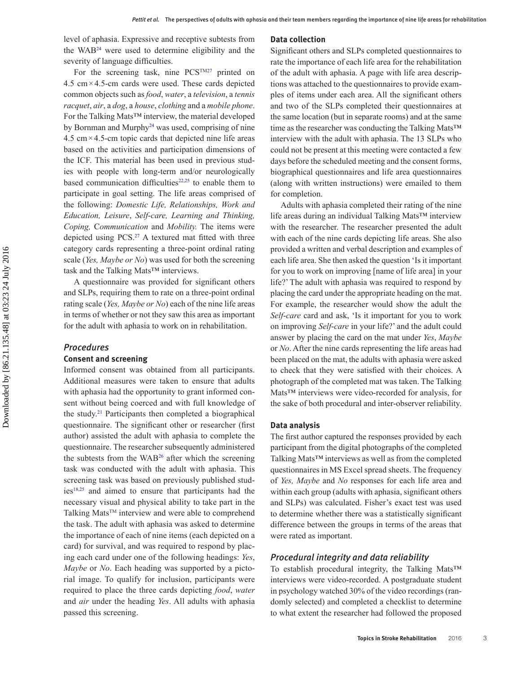level of aphasia. Expressive and receptive subtests from the WAB[24](#page-8-5) were used to determine eligibility and the severity of language difficulties.

For the screening task, nine PCS<sup>T[M27](#page-8-8)</sup> printed on 4.5 cm×4.5-cm cards were used. These cards depicted common objects such as *food*, *water*, a *television*, a *tennis racquet*, *air*, a *dog*, a *house*, *clothing* and a *mobile phone*. For the Talking Mats™ interview, the material developed by Bornman and Murphy<sup>24</sup> was used, comprising of nine  $4.5 \text{ cm} \times 4.5 \text{ cm}$  topic cards that depicted nine life areas based on the activities and participation dimensions of the ICF. This material has been used in previous studies with people with long-term and/or neurologically based communication difficulties $22,25$  $22,25$  to enable them to participate in goal setting. The life areas comprised of the following: *Domestic Life, Relationships, Work and Education, Leisure*, *Self*-*care, Learning and Thinking, Coping,* C*ommunication* and *Mobility.* The items were depicted using PCS.<sup>[27](#page-8-8)</sup> A textured mat fitted with three category cards representing a three-point ordinal rating scale (*Yes, Maybe or No*) was used for both the screening task and the Talking Mats™ interviews.

A questionnaire was provided for significant others and SLPs, requiring them to rate on a three-point ordinal rating scale (*Yes, Maybe or No*) each of the nine life areas in terms of whether or not they saw this area as important for the adult with aphasia to work on in rehabilitation.

#### *Procedures*

#### **Consent and screening**

Informed consent was obtained from all participants. Additional measures were taken to ensure that adults with aphasia had the opportunity to grant informed consent without being coerced and with full knowledge of the study.<sup>21</sup> Participants then completed a biographical questionnaire. The significant other or researcher (first author) assisted the adult with aphasia to complete the questionnaire. The researcher subsequently administered the subtests from the WAB<sup>26</sup> after which the screening task was conducted with the adult with aphasia. This screening task was based on previously published studie[s18](#page-8-2),[25](#page-8-6) and aimed to ensure that participants had the necessary visual and physical ability to take part in the Talking Mats<sup>TM</sup> interview and were able to comprehend the task. The adult with aphasia was asked to determine the importance of each of nine items (each depicted on a card) for survival, and was required to respond by placing each card under one of the following headings: *Yes*, *Maybe* or *No*. Each heading was supported by a pictorial image. To qualify for inclusion, participants were required to place the three cards depicting *food*, *water* and *air* under the heading *Yes*. All adults with aphasia passed this screening.

#### **Data collection**

Significant others and SLPs completed questionnaires to rate the importance of each life area for the rehabilitation of the adult with aphasia. A page with life area descriptions was attached to the questionnaires to provide examples of items under each area. All the significant others and two of the SLPs completed their questionnaires at the same location (but in separate rooms) and at the same time as the researcher was conducting the Talking Mats™ interview with the adult with aphasia. The 13 SLPs who could not be present at this meeting were contacted a few days before the scheduled meeting and the consent forms, biographical questionnaires and life area questionnaires (along with written instructions) were emailed to them for completion.

Adults with aphasia completed their rating of the nine life areas during an individual Talking Mats™ interview with the researcher. The researcher presented the adult with each of the nine cards depicting life areas. She also provided a written and verbal description and examples of each life area. She then asked the question 'Is it important for you to work on improving [name of life area] in your life?' The adult with aphasia was required to respond by placing the card under the appropriate heading on the mat. For example, the researcher would show the adult the *Self*-*care* card and ask, 'Is it important for you to work on improving *Self*-*care* in your life?' and the adult could answer by placing the card on the mat under *Yes*, *Maybe* or *No*. After the nine cards representing the life areas had been placed on the mat, the adults with aphasia were asked to check that they were satisfied with their choices. A photograph of the completed mat was taken. The Talking Mats™ interviews were video-recorded for analysis, for the sake of both procedural and inter-observer reliability.

#### **Data analysis**

The first author captured the responses provided by each participant from the digital photographs of the completed Talking Mats<sup>™</sup> interviews as well as from the completed questionnaires in MS Excel spread sheets. The frequency of *Yes, Maybe* and *No* responses for each life area and within each group (adults with aphasia, significant others and SLPs) was calculated. Fisher's exact test was used to determine whether there was a statistically significant difference between the groups in terms of the areas that were rated as important.

#### *Procedural integrity and data reliability*

To establish procedural integrity, the Talking Mats™ interviews were video-recorded. A postgraduate student in psychology watched 30% of the video recordings (randomly selected) and completed a checklist to determine to what extent the researcher had followed the proposed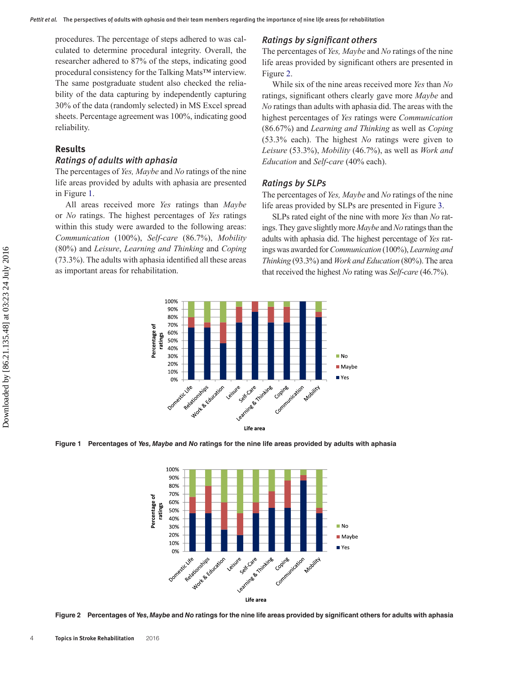procedures. The percentage of steps adhered to was calculated to determine procedural integrity. Overall, the researcher adhered to 87% of the steps, indicating good procedural consistency for the Talking Mats™ interview. The same postgraduate student also checked the reliability of the data capturing by independently capturing 30% of the data (randomly selected) in MS Excel spread sheets. Percentage agreement was 100%, indicating good reliability.

#### **Results**

#### *Ratings of adults with aphasia*

The percentages of *Yes, Maybe* and *No* ratings of the nine life areas provided by adults with aphasia are presented in Figure [1](#page-4-1).

All areas received more *Yes* ratings than *Maybe* or *No* ratings. The highest percentages of *Yes* ratings within this study were awarded to the following areas: *Communication* (100%), *Self*-*care* (86.7%), *Mobility* (80%) and *Leisure*, *Learning and Thinking* and *Coping* (73.3%). The adults with aphasia identified all these areas as important areas for rehabilitation.

#### *Ratings by significant others*

The percentages of *Yes, Maybe* and *No* ratings of the nine life areas provided by significant others are presented in Figure [2.](#page-4-0)

While six of the nine areas received more *Yes* than *No* ratings, significant others clearly gave more *Maybe* and *No* ratings than adults with aphasia did. The areas with the highest percentages of *Yes* ratings were *Communication* (86.67%) and *Learning and Thinking* as well as *Coping* (53.3% each). The highest *No* ratings were given to *Leisure* (53.3%), *Mobility* (46.7%), as well as *Work and Education* and *Self*-*care* (40% each).

#### *Ratings by SLPs*

The percentages of *Yes, Maybe* and *No* ratings of the nine life areas provided by SLPs are presented in Figure [3](#page-5-0).

SLPs rated eight of the nine with more *Yes* than *No* ratings. They gave slightly more *Maybe* and *No* ratings than the adults with aphasia did. The highest percentage of *Yes* ratings was awarded for *Communication* (100%), *Learning and Thinking* (93.3%) and *Work and Education* (80%). The area that received the highest *No* rating was *Self*-*care* (46.7%).



<span id="page-4-1"></span>**Figure 1 Percentages of** *Yes, Maybe* **and** *No* **ratings for the nine life areas provided by adults with aphasia**



<span id="page-4-0"></span>**Figure 2 Percentages of** *Yes, Maybe* **and** *No* **ratings for the nine life areas provided by significant others for adults with aphasia**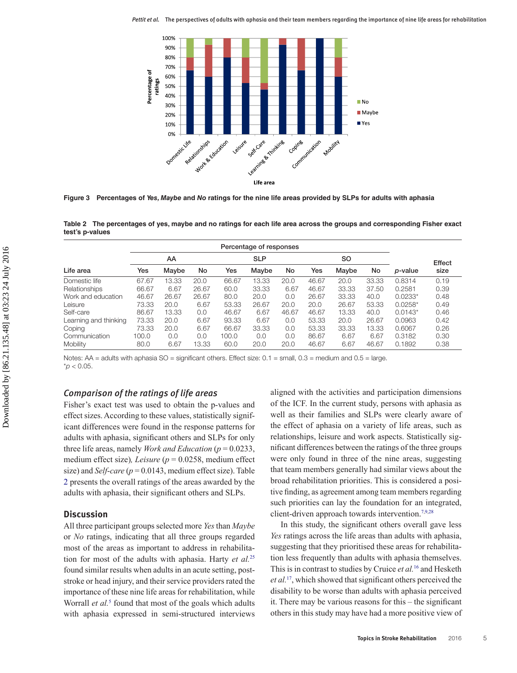

<span id="page-5-0"></span>**Figure 3 Percentages of** *Yes, Maybe* **and** *No* **ratings for the nine life areas provided by SLPs for adults with aphasia**

**Table 2 The percentages of yes, maybe and no ratings for each life area across the groups and corresponding Fisher exact test's p-values**

|                       | Percentage of responses |       |            |       |           |       |       |               |       |                 |      |
|-----------------------|-------------------------|-------|------------|-------|-----------|-------|-------|---------------|-------|-----------------|------|
|                       | AA                      |       | <b>SLP</b> |       | <b>SO</b> |       |       | <b>Effect</b> |       |                 |      |
| Life area             | Yes                     | Maybe | No         | Yes   | Maybe     | No    | Yes   | Maybe         | No    | <i>p</i> -value | size |
| Domestic life         | 67.67                   | 13.33 | 20.0       | 66.67 | 13.33     | 20.0  | 46.67 | 20.0          | 33.33 | 0.8314          | 0.19 |
| Relationships         | 66.67                   | 6.67  | 26.67      | 60.0  | 33.33     | 6.67  | 46.67 | 33.33         | 37.50 | 0.2581          | 0.39 |
| Work and education    | 46.67                   | 26.67 | 26.67      | 80.0  | 20.0      | 0.0   | 26.67 | 33.33         | 40.0  | $0.0233*$       | 0.48 |
| Leisure               | 73.33                   | 20.0  | 6.67       | 53.33 | 26.67     | 20.0  | 20.0  | 26.67         | 53.33 | $0.0258*$       | 0.49 |
| Self-care             | 86.67                   | 13.33 | 0.0        | 46.67 | 6.67      | 46.67 | 46.67 | 13.33         | 40.0  | $0.0143*$       | 0.46 |
| Learning and thinking | 73.33                   | 20.0  | 6.67       | 93.33 | 6.67      | 0.0   | 53.33 | 20.0          | 26.67 | 0.0963          | 0.42 |
| Coping                | 73.33                   | 20.0  | 6.67       | 66.67 | 33.33     | 0.0   | 53.33 | 33.33         | 13.33 | 0.6067          | 0.26 |
| Communication         | 100.0                   | 0.0   | 0.0        | 100.0 | 0.0       | 0.0   | 86.67 | 6.67          | 6.67  | 0.3182          | 0.30 |
| Mobility              | 80.0                    | 6.67  | 13.33      | 60.0  | 20.0      | 20.0  | 46.67 | 6.67          | 46.67 | 0.1892          | 0.38 |

Notes: AA = adults with aphasia SO = significant others. Effect size: 0.1 = small, 0.3 = medium and 0.5 = large.  $*$ *p* < 0.05.

#### *Comparison of the ratings of life areas*

Fisher's exact test was used to obtain the p-values and effect sizes. According to these values, statistically significant differences were found in the response patterns for adults with aphasia, significant others and SLPs for only three life areas, namely *Work and Education* (*p* = 0.0233, medium effect size)*, Leisure* (*p* = 0.0258, medium effect size) and *Self*-*care* (*p* = 0.0143, medium effect size). Table 2 presents the overall ratings of the areas awarded by the adults with aphasia, their significant others and SLPs.

#### **Discussion**

All three participant groups selected more *Yes* than *Maybe* or *No* ratings, indicating that all three groups regarded most of the areas as important to address in rehabilitation for most of the adults with aphasia. Harty *et al.*[25](#page-8-6) found similar results when adults in an acute setting, poststroke or head injury, and their service providers rated the importance of these nine life areas for rehabilitation, while Worrall *et al.*<sup>[5](#page-7-2)</sup> found that most of the goals which adults with aphasia expressed in semi-structured interviews

aligned with the activities and participation dimensions of the ICF. In the current study, persons with aphasia as well as their families and SLPs were clearly aware of the effect of aphasia on a variety of life areas, such as relationships, leisure and work aspects. Statistically significant differences between the ratings of the three groups were only found in three of the nine areas, suggesting that team members generally had similar views about the broad rehabilitation priorities. This is considered a positive finding, as agreement among team members regarding such priorities can lay the foundation for an integrated, client-driven approach towards intervention.<sup>[7,](#page-7-4)[9](#page-7-6)[,28](#page-8-10)</sup>

In this study, the significant others overall gave less *Yes* ratings across the life areas than adults with aphasia, suggesting that they prioritised these areas for rehabilitation less frequently than adults with aphasia themselves. This is in contrast to studies by Cruice *et al.*[16](#page-8-0) and Hesketh *et al.*[17](#page-8-1), which showed that significant others perceived the disability to be worse than adults with aphasia perceived it. There may be various reasons for this – the significant others in this study may have had a more positive view of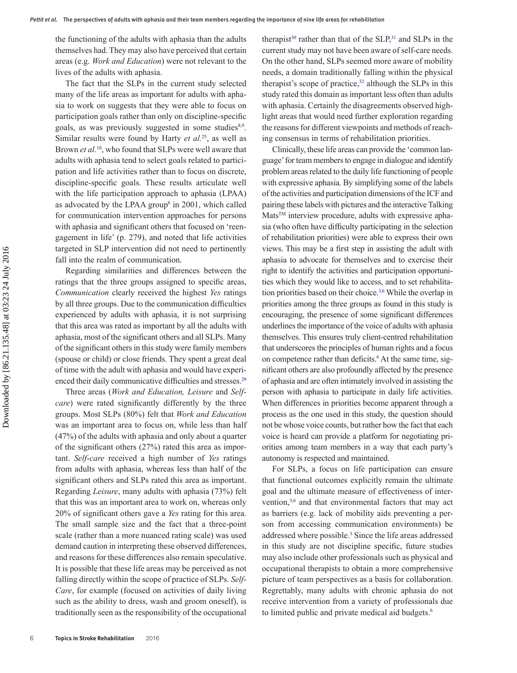the functioning of the adults with aphasia than the adults themselves had. They may also have perceived that certain areas (e.g. *Work and Education*) were not relevant to the lives of the adults with aphasia.

The fact that the SLPs in the current study selected many of the life areas as important for adults with aphasia to work on suggests that they were able to focus on participation goals rather than only on discipline-specific goals, as was previously suggested in some studies<sup>[8,](#page-7-5)[9](#page-7-6)</sup>. Similar results were found by Harty *et al.*[25,](#page-8-6) as well as Brown *et al.*[10,](#page-7-12) who found that SLPs were well aware that adults with aphasia tend to select goals related to participation and life activities rather than to focus on discrete, discipline-specific goals. These results articulate well with the life participation approach to aphasia (LPAA) as advocated by the LPAA group $6$  in 2001, which called for communication intervention approaches for persons with aphasia and significant others that focused on 'reengagement in life' (p. 279), and noted that life activities targeted in SLP intervention did not need to pertinently fall into the realm of communication.

Regarding similarities and differences between the ratings that the three groups assigned to specific areas, *Communication* clearly received the highest *Yes* ratings by all three groups. Due to the communication difficulties experienced by adults with aphasia, it is not surprising that this area was rated as important by all the adults with aphasia, most of the significant others and all SLPs. Many of the significant others in this study were family members (spouse or child) or close friends. They spent a great deal of time with the adult with aphasia and would have experi-enced their daily communicative difficulties and stresses.<sup>[29](#page-8-14)</sup>

Three areas (*Work and Education, Leisure* and *Selfcare*) were rated significantly differently by the three groups. Most SLPs (80%) felt that *Work and Education* was an important area to focus on, while less than half (47%) of the adults with aphasia and only about a quarter of the significant others (27%) rated this area as important. *Self*-*care* received a high number of *Yes* ratings from adults with aphasia, whereas less than half of the significant others and SLPs rated this area as important. Regarding *Leisure*, many adults with aphasia (73%) felt that this was an important area to work on, whereas only 20% of significant others gave a *Yes* rating for this area. The small sample size and the fact that a three-point scale (rather than a more nuanced rating scale) was used demand caution in interpreting these observed differences, and reasons for these differences also remain speculative. It is possible that these life areas may be perceived as not falling directly within the scope of practice of SLPs. *Self*-*Care*, for example (focused on activities of daily living such as the ability to dress, wash and groom oneself), is traditionally seen as the responsibility of the occupational

therapist<sup>30</sup> rather than that of the  $SLP<sub>31</sub>$  and  $SLPs$  in the current study may not have been aware of self-care needs. On the other hand, SLPs seemed more aware of mobility needs, a domain traditionally falling within the physical therapist's scope of practice, $32$  although the SLPs in this study rated this domain as important less often than adults with aphasia. Certainly the disagreements observed highlight areas that would need further exploration regarding the reasons for different viewpoints and methods of reaching consensus in terms of rehabilitation priorities.

Clinically, these life areas can provide the 'common language' for team members to engage in dialogue and identify problem areas related to the daily life functioning of people with expressive aphasia. By simplifying some of the labels of the activities and participation dimensions of the ICF and pairing these labels with pictures and the interactive Talking Mats<sup>TM</sup> interview procedure, adults with expressive aphasia (who often have difficulty participating in the selection of rehabilitation priorities) were able to express their own views. This may be a first step in assisting the adult with aphasia to advocate for themselves and to exercise their right to identify the activities and participation opportunities which they would like to access, and to set rehabilitation priorities based on their choice[.3](#page-7-11),[6](#page-7-3) While the overlap in priorities among the three groups as found in this study is encouraging, the presence of some significant differences underlines the importance of the voice of adults with aphasia themselves. This ensures truly client-centred rehabilitation that underscores the principles of human rights and a focus on competence rather than deficits.<sup>[6](#page-7-3)</sup> At the same time, significant others are also profoundly affected by the presence of aphasia and are often intimately involved in assisting the person with aphasia to participate in daily life activities. When differences in priorities become apparent through a process as the one used in this study, the question should not be whose voice counts, but rather how the fact that each voice is heard can provide a platform for negotiating priorities among team members in a way that each party's autonomy is respected and maintained.

For SLPs, a focus on life participation can ensure that functional outcomes explicitly remain the ultimate goal and the ultimate measure of effectiveness of inter-vention,<sup>3,[6](#page-7-3)</sup> and that environmental factors that may act as barriers (e.g. lack of mobility aids preventing a person from accessing communication environments) be addressed where possible[.3](#page-7-11) Since the life areas addressed in this study are not discipline specific, future studies may also include other professionals such as physical and occupational therapists to obtain a more comprehensive picture of team perspectives as a basis for collaboration. Regrettably, many adults with chronic aphasia do not receive intervention from a variety of professionals due to limited public and private medical aid budgets.<sup>6</sup>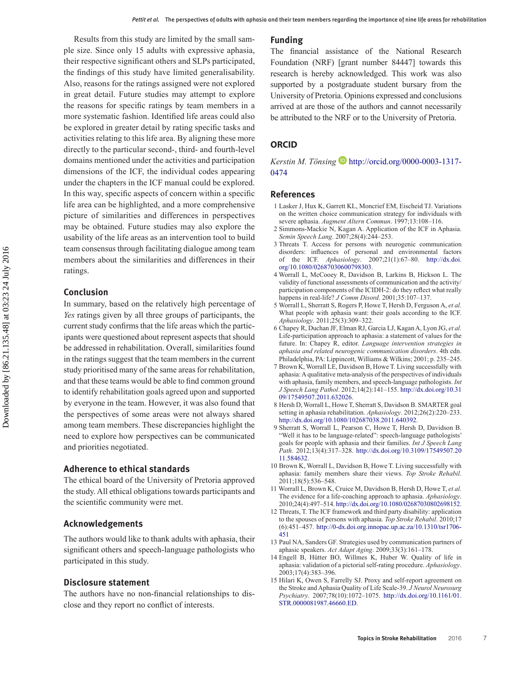Results from this study are limited by the small sample size. Since only 15 adults with expressive aphasia, their respective significant others and SLPs participated, the findings of this study have limited generalisability. Also, reasons for the ratings assigned were not explored in great detail. Future studies may attempt to explore the reasons for specific ratings by team members in a more systematic fashion. Identified life areas could also be explored in greater detail by rating specific tasks and activities relating to this life area. By aligning these more directly to the particular second-, third- and fourth-level domains mentioned under the activities and participation dimensions of the ICF, the individual codes appearing under the chapters in the ICF manual could be explored. In this way, specific aspects of concern within a specific life area can be highlighted, and a more comprehensive picture of similarities and differences in perspectives may be obtained. Future studies may also explore the usability of the life areas as an intervention tool to build team consensus through facilitating dialogue among team members about the similarities and differences in their ratings.

#### **Conclusion**

In summary, based on the relatively high percentage of *Yes* ratings given by all three groups of participants, the current study confirms that the life areas which the participants were questioned about represent aspects that should be addressed in rehabilitation. Overall, similarities found in the ratings suggest that the team members in the current study prioritised many of the same areas for rehabilitation, and that these teams would be able to find common ground to identify rehabilitation goals agreed upon and supported by everyone in the team. However, it was also found that the perspectives of some areas were not always shared among team members. These discrepancies highlight the need to explore how perspectives can be communicated and priorities negotiated.

#### **Adherence to ethical standards**

The ethical board of the University of Pretoria approved the study. All ethical obligations towards participants and the scientific community were met.

#### **Acknowledgements**

The authors would like to thank adults with aphasia, their significant others and speech-language pathologists who participated in this study.

#### **Disclosure statement**

The authors have no non-financial relationships to disclose and they report no conflict of interests.

#### **Funding**

The financial assistance of the National Research Foundation (NRF) [grant number 84447] towards this research is hereby acknowledged. This work was also supported by a postgraduate student bursary from the University of Pretoria. Opinions expressed and conclusions arrived at are those of the authors and cannot necessarily be attributed to the NRF or to the University of Pretoria.

#### **ORCID**

*Kerstin M. Tönsing* [http://orcid.org/0000-0003-1317-](http://orcid.org/0000-0003-1317-0474) [0474](http://orcid.org/0000-0003-1317-0474)

#### **References**

- <span id="page-7-0"></span>1 Lasker J, Hux K, Garrett KL, Moncrief EM, Eischeid TJ. Variations on the written choice communication strategy for individuals with severe aphasia. *Augment Altern Commun*. 1997;13:108–116.
- <span id="page-7-1"></span>2 Simmons-Mackie N, Kagan A. Application of the ICF in Aphasia. *Semin Speech Lang*. 2007;28(4):244–253.
- <span id="page-7-11"></span>3 Threats T. Access for persons with neurogenic communication disorders: influences of personal and environmental factors of the ICF. *Aphasiology*. 2007;21(1):67–80. [http://dx.doi.](http://dx.doi.org/10.1080/02687030600798303) [org/10.1080/02687030600798303.](http://dx.doi.org/10.1080/02687030600798303)
- 4 Worrall L, McCooey R, Davidson B, Larkins B, Hickson L. The validity of functional assessments of communication and the activity/ participation components of the ICIDH-2: do they reflect what really happens in real-life? *J Comm Disord*. 2001;35:107–137.
- <span id="page-7-2"></span>5 Worrall L, Sherratt S, Rogers P, Howe T, Hersh D, Ferguson A, *et al.* What people with aphasia want: their goals according to the ICF. *Aphasiology*. 2011;25(3):309–322.
- <span id="page-7-3"></span>6 Chapey R, Duchan JF, Elman RJ, Garcia LJ, Kagan A, Lyon JG, *et al.* Life-participation approach to aphasia: a statement of values for the future. In: Chapey R, editor. *Language intervention strategies in aphasia and related neurogenic communication disorders*. 4th edn. Philadelphia, PA: Lippincott, Williams & Wilkins; 2001; p. 235–245.
- <span id="page-7-4"></span>7 Brown K, Worrall LE, Davidson B, Howe T. Living successfully with aphasia: A qualitative meta-analysis of the perspectives of individuals with aphasia, family members, and speech-language pathologists. *Int J Speech Lang Pathol*. 2012;14(2):141–155. [http://dx.doi.org/10.31](http://dx.doi.org/10.3109/17549507.2011.632026) [09/17549507.2011.632026.](http://dx.doi.org/10.3109/17549507.2011.632026)
- <span id="page-7-5"></span>8 Hersh D, Worrall L, Howe T, Sherratt S, Davidson B. SMARTER goal setting in aphasia rehabilitation. *Aphasiology*. 2012;26(2):220–233. [http://dx.doi.org/10.1080/102687038.2011.640392.](http://dx.doi.org/10.1080/102687038.2011.640392)
- <span id="page-7-6"></span>9 Sherratt S, Worrall L, Pearson C, Howe T, Hersh D, Davidson B. "Well it has to be language-related": speech-language pathologists' goals for people with aphasia and their families. *Int J Speech Lang Path*. 2012;13(4):317–328. [http://dx.doi.org/10.3109/17549507.20](http://dx.doi.org/10.3109/17549507.2011.584632) [11.584632.](http://dx.doi.org/10.3109/17549507.2011.584632)
- <span id="page-7-12"></span>10 Brown K, Worrall L, Davidson B, Howe T. Living successfully with aphasia: family members share their views. *Top Stroke Rehabil*. 2011;18(5):536–548.
- 11 Worrall L, Brown K, Cruice M, Davidson B, Hersh D, Howe T, *et al.* The evidence for a life-coaching approach to aphasia. *Aphasiology*. 2010;24(4):497–514.<http://dx.doi.org/10.1080/02687030802698152>.
- <span id="page-7-7"></span>12 Threats, T. The ICF framework and third party disability: application to the spouses of persons with aphasia. *Top Stroke Rehabil*. 2010;17 (6):451–457. [http://0-dx.doi.org.innopac.up.ac.za/10.1310/tsr1706-](http://0-dx.doi.org.innopac.up.ac.za/10.1310/tsr1706-451) [451](http://0-dx.doi.org.innopac.up.ac.za/10.1310/tsr1706-451)
- <span id="page-7-8"></span>13 Paul NA, Sanders GF. Strategies used by communication partners of aphasic speakers. *Act Adapt Aging*. 2009;33(3):161–178.
- <span id="page-7-9"></span>14 Engell B, Hütter BO, Willmes K, Huber W. Quality of life in aphasia: validation of a pictorial self-rating procedure. *Aphasiology*. 2003;17(4):383–396.
- <span id="page-7-10"></span>15 Hilari K, Owen S, Farrelly SJ. Proxy and self-report agreement on the Stroke and Aphasia Quality of Life Scale-39. *J Neurol Neurosurg Psychiatry*. 2007;78(10):1072–1075. [http://dx.doi.org/10.1161/01.](http://dx.doi.org/10.1161/01.STR.0000081987.46660.ED) [STR.0000081987.46660.ED](http://dx.doi.org/10.1161/01.STR.0000081987.46660.ED).